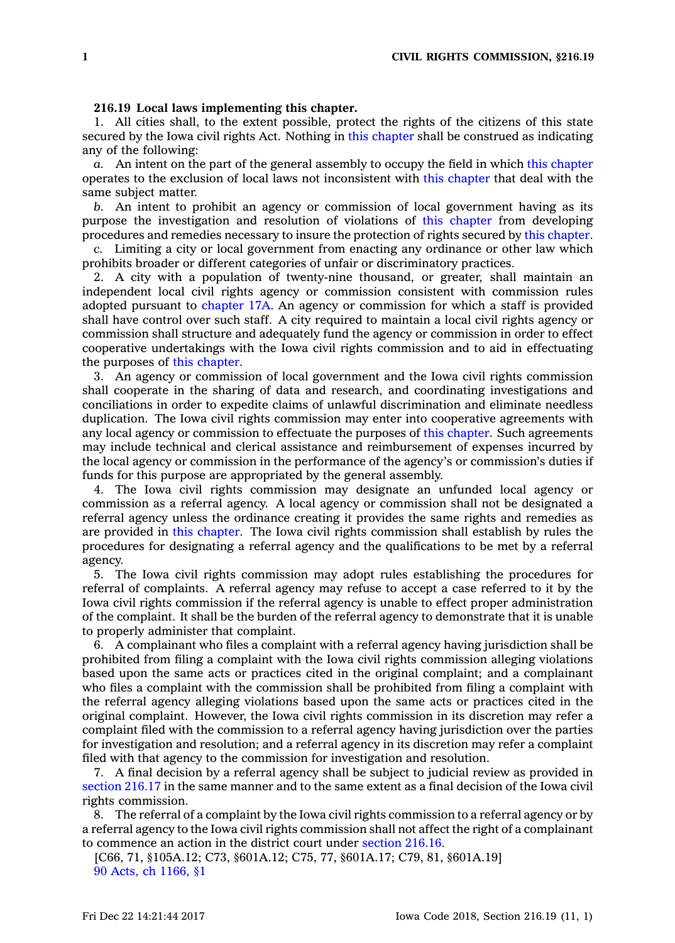## **216.19 Local laws implementing this chapter.**

1. All cities shall, to the extent possible, protect the rights of the citizens of this state secured by the Iowa civil rights Act. Nothing in this [chapter](https://www.legis.iowa.gov/docs/code//216.pdf) shall be construed as indicating any of the following:

*a.* An intent on the part of the general assembly to occupy the field in which this [chapter](https://www.legis.iowa.gov/docs/code//216.pdf) operates to the exclusion of local laws not inconsistent with this [chapter](https://www.legis.iowa.gov/docs/code//216.pdf) that deal with the same subject matter.

*b.* An intent to prohibit an agency or commission of local government having as its purpose the investigation and resolution of violations of this [chapter](https://www.legis.iowa.gov/docs/code//216.pdf) from developing procedures and remedies necessary to insure the protection of rights secured by this [chapter](https://www.legis.iowa.gov/docs/code//216.pdf).

*c.* Limiting <sup>a</sup> city or local government from enacting any ordinance or other law which prohibits broader or different categories of unfair or discriminatory practices.

2. A city with <sup>a</sup> population of twenty-nine thousand, or greater, shall maintain an independent local civil rights agency or commission consistent with commission rules adopted pursuant to [chapter](https://www.legis.iowa.gov/docs/code//17A.pdf) 17A. An agency or commission for which <sup>a</sup> staff is provided shall have control over such staff. A city required to maintain <sup>a</sup> local civil rights agency or commission shall structure and adequately fund the agency or commission in order to effect cooperative undertakings with the Iowa civil rights commission and to aid in effectuating the purposes of this [chapter](https://www.legis.iowa.gov/docs/code//216.pdf).

3. An agency or commission of local government and the Iowa civil rights commission shall cooperate in the sharing of data and research, and coordinating investigations and conciliations in order to expedite claims of unlawful discrimination and eliminate needless duplication. The Iowa civil rights commission may enter into cooperative agreements with any local agency or commission to effectuate the purposes of this [chapter](https://www.legis.iowa.gov/docs/code//216.pdf). Such agreements may include technical and clerical assistance and reimbursement of expenses incurred by the local agency or commission in the performance of the agency's or commission's duties if funds for this purpose are appropriated by the general assembly.

4. The Iowa civil rights commission may designate an unfunded local agency or commission as <sup>a</sup> referral agency. A local agency or commission shall not be designated <sup>a</sup> referral agency unless the ordinance creating it provides the same rights and remedies as are provided in this [chapter](https://www.legis.iowa.gov/docs/code//216.pdf). The Iowa civil rights commission shall establish by rules the procedures for designating <sup>a</sup> referral agency and the qualifications to be met by <sup>a</sup> referral agency.

5. The Iowa civil rights commission may adopt rules establishing the procedures for referral of complaints. A referral agency may refuse to accept <sup>a</sup> case referred to it by the Iowa civil rights commission if the referral agency is unable to effect proper administration of the complaint. It shall be the burden of the referral agency to demonstrate that it is unable to properly administer that complaint.

6. A complainant who files <sup>a</sup> complaint with <sup>a</sup> referral agency having jurisdiction shall be prohibited from filing <sup>a</sup> complaint with the Iowa civil rights commission alleging violations based upon the same acts or practices cited in the original complaint; and <sup>a</sup> complainant who files <sup>a</sup> complaint with the commission shall be prohibited from filing <sup>a</sup> complaint with the referral agency alleging violations based upon the same acts or practices cited in the original complaint. However, the Iowa civil rights commission in its discretion may refer <sup>a</sup> complaint filed with the commission to <sup>a</sup> referral agency having jurisdiction over the parties for investigation and resolution; and <sup>a</sup> referral agency in its discretion may refer <sup>a</sup> complaint filed with that agency to the commission for investigation and resolution.

7. A final decision by <sup>a</sup> referral agency shall be subject to judicial review as provided in [section](https://www.legis.iowa.gov/docs/code/216.17.pdf) 216.17 in the same manner and to the same extent as <sup>a</sup> final decision of the Iowa civil rights commission.

8. The referral of <sup>a</sup> complaint by the Iowa civil rights commission to <sup>a</sup> referral agency or by <sup>a</sup> referral agency to the Iowa civil rights commission shall not affect the right of <sup>a</sup> complainant to commence an action in the district court under [section](https://www.legis.iowa.gov/docs/code/216.16.pdf) 216.16.

[C66, 71, §105A.12; C73, §601A.12; C75, 77, §601A.17; C79, 81, §601A.19] 90 Acts, ch [1166,](https://www.legis.iowa.gov/docs/acts/1990/CH1166.pdf) §1